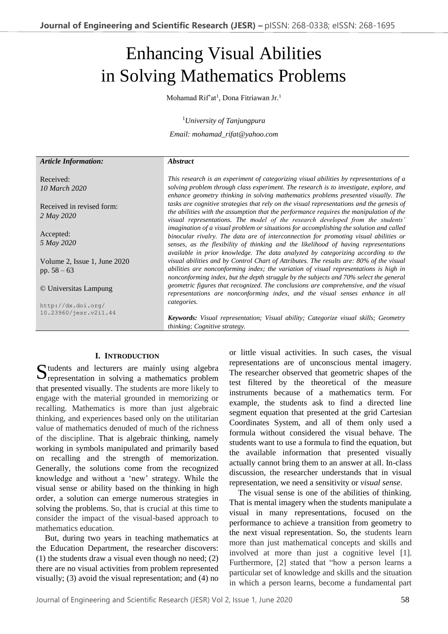# Enhancing Visual Abilities in Solving Mathematics Problems

Mohamad Rif'at<sup>1</sup>, Dona Fitriawan Jr.<sup>1</sup>

<sup>1</sup>*University of Tanjungpura*

*Email: mohamad\_rifat@yahoo.com*

#### *Abstract*

*Article Information:*

Received: *10 March 2020*

Received in revised form: *2 May 2020*

Accepted: *5 May 2020*

Volume 2, Issue 1, June 2020 pp. 58 – 63

© Universitas Lampung

http://dx.doi.org/ 10.23960/jesr.v2i1.44

*This research is an experiment of categorizing visual abilities by representations of a solving problem through class experiment. The research is to investigate, explore, and enhance geometry thinking in solving mathematics problems presented visually. The tasks are cognitive strategies that rely on the visual representations and the genesis of the abilities with the assumption that the performance requires the manipulation of the visual representations. The model of the research developed from the students' imagination of a visual problem or situations for accomplishing the solution and called binocular rivalry. The data are of interconnection for promoting visual abilities or senses, as the flexibility of thinking and the likelihood of having representations available in prior knowledge. The data analyzed by categorizing according to the visual abilities and by Control Chart of Attributes. The results are: 80% of the visual abilities are nonconforming index; the variation of visual representations is high in nonconforming index, but the depth struggle by the subjects and 70% select the general geometric figures that recognized. The conclusions are comprehensive, and the visual representations are nonconforming index, and the visual senses enhance in all categories.*

*Keywords: Visual representation; Visual ability; Categorize visual skills; Geometry thinking; Cognitive strategy.*

## **I. INTRODUCTION**

tudents and lecturers are mainly using algebra Sudents and lecturers are mainly using algebra<br>representation in solving a mathematics problem that presented visually. The students are more likely to engage with the material grounded in memorizing or recalling. Mathematics is more than just algebraic thinking, and experiences based only on the utilitarian value of mathematics denuded of much of the richness of the discipline. That is algebraic thinking, namely working in symbols manipulated and primarily based on recalling and the strength of memorization. Generally, the solutions come from the recognized knowledge and without a 'new' strategy. While the visual sense or ability based on the thinking in high order, a solution can emerge numerous strategies in solving the problems. So, that is crucial at this time to consider the impact of the visual-based approach to mathematics education.

But, during two years in teaching mathematics at the Education Department, the researcher discovers: (1) the students draw a visual even though no need; (2) there are no visual activities from problem represented visually; (3) avoid the visual representation; and (4) no or little visual activities. In such cases, the visual representations are of unconscious mental imagery. The researcher observed that geometric shapes of the test filtered by the theoretical of the measure instruments because of a mathematics term. For example, the students ask to find a directed line segment equation that presented at the grid Cartesian Coordinates System, and all of them only used a formula without considered the visual behave. The students want to use a formula to find the equation, but the available information that presented visually actually cannot bring them to an answer at all. In-class discussion, the researcher understands that in visual representation, we need a sensitivity or *visual sense*.

The visual sense is one of the abilities of thinking. That is mental imagery when the students manipulate a visual in many representations, focused on the performance to achieve a transition from geometry to the next visual representation. So, the students learn more than just mathematical concepts and skills and involved at more than just a cognitive level [1]. Furthermore, [2] stated that "how a person learns a particular set of knowledge and skills and the situation in which a person learns, become a fundamental part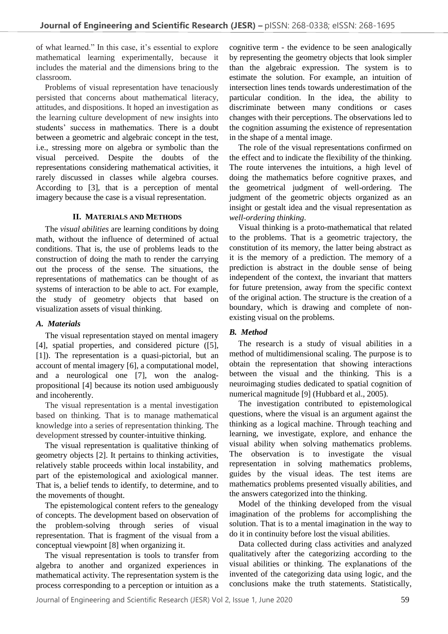of what learned." In this case, it's essential to explore mathematical learning experimentally, because it includes the material and the dimensions bring to the classroom.

Problems of visual representation have tenaciously persisted that concerns about mathematical literacy, attitudes, and dispositions. It hoped an investigation as the learning culture development of new insights into students' success in mathematics. There is a doubt between a geometric and algebraic concept in the test, i.e., stressing more on algebra or symbolic than the visual perceived. Despite the doubts of the representations considering mathematical activities, it rarely discussed in classes while algebra courses. According to [3], that is a perception of mental imagery because the case is a visual representation.

## **II. MATERIALS AND METHODS**

The *visual abilities* are learning conditions by doing math, without the influence of determined of actual conditions. That is, the use of problems leads to the construction of doing the math to render the carrying out the process of the sense. The situations, the representations of mathematics can be thought of as systems of interaction to be able to act. For example, the study of geometry objects that based on visualization assets of visual thinking.

# *A. Materials*

The visual representation stayed on mental imagery [4], spatial properties, and considered picture ([5], [1]). The representation is a quasi-pictorial, but an account of mental imagery [6], a computational model, and a neurological one [7], won the analogpropositional [4] because its notion used ambiguously and incoherently.

The visual representation is a mental investigation based on thinking. That is to manage mathematical knowledge into a series of representation thinking. The development stressed by counter-intuitive thinking.

The visual representation is qualitative thinking of geometry objects [2]. It pertains to thinking activities, relatively stable proceeds within local instability, and part of the epistemological and axiological manner. That is, a belief tends to identify, to determine, and to the movements of thought.

The epistemological content refers to the genealogy of concepts. The development based on observation of the problem-solving through series of visual representation. That is fragment of the visual from a conceptual viewpoint [8] when organizing it.

The visual representation is tools to transfer from algebra to another and organized experiences in mathematical activity. The representation system is the process corresponding to a perception or intuition as a

cognitive term - the evidence to be seen analogically by representing the geometry objects that look simpler than the algebraic expression. The system is to estimate the solution. For example, an intuition of intersection lines tends towards underestimation of the particular condition. In the idea, the ability to discriminate between many conditions or cases changes with their perceptions. The observations led to the cognition assuming the existence of representation in the shape of a mental image.

The role of the visual representations confirmed on the effect and to indicate the flexibility of the thinking. The route intervenes the intuitions, a high level of doing the mathematics before cognitive praxes, and the geometrical judgment of well-ordering. The judgment of the geometric objects organized as an insight or gestalt idea and the visual representation as *well-ordering thinking*.

Visual thinking is a proto-mathematical that related to the problems. That is a geometric trajectory, the constitution of its memory, the latter being abstract as it is the memory of a prediction. The memory of a prediction is abstract in the double sense of being independent of the context, the invariant that matters for future pretension, away from the specific context of the original action. The structure is the creation of a boundary, which is drawing and complete of nonexisting visual on the problems.

# *B. Method*

The research is a study of visual abilities in a method of multidimensional scaling. The purpose is to obtain the representation that showing interactions between the visual and the thinking. This is a neuroimaging studies dedicated to spatial cognition of numerical magnitude [9] (Hubbard et al., 2005).

The investigation contributed to epistemological questions, where the visual is an argument against the thinking as a logical machine. Through teaching and learning, we investigate, explore, and enhance the visual ability when solving mathematics problems. The observation is to investigate the visual representation in solving mathematics problems, guides by the visual ideas. The test items are mathematics problems presented visually abilities, and the answers categorized into the thinking.

Model of the thinking developed from the visual imagination of the problems for accomplishing the solution. That is to a mental imagination in the way to do it in continuity before lost the visual abilities.

Data collected during class activities and analyzed qualitatively after the categorizing according to the visual abilities or thinking. The explanations of the invented of the categorizing data using logic, and the conclusions make the truth statements. Statistically,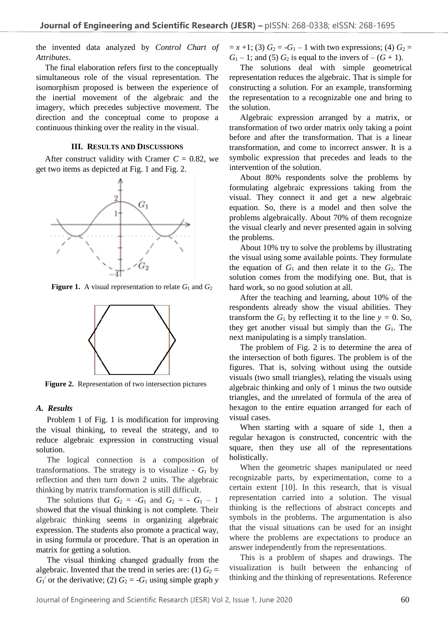the invented data analyzed by *Control Chart of Attributes*.

The final elaboration refers first to the conceptually simultaneous role of the visual representation. The isomorphism proposed is between the experience of the inertial movement of the algebraic and the imagery, which precedes subjective movement. The direction and the conceptual come to propose a continuous thinking over the reality in the visual.

#### **III. RESULTS AND DISCUSSIONS**

After construct validity with Cramer  $C = 0.82$ , we get two items as depicted at Fig. 1 and Fig. 2.



**Figure 1.** A visual representation to relate  $G_1$  and  $G_2$ 



**Figure 2.** Representation of two intersection pictures

# *A. Results*

Problem 1 of Fig. 1 is modification for improving the visual thinking, to reveal the strategy, and to reduce algebraic expression in constructing visual solution.

The logical connection is a composition of transformations. The strategy is to visualize  $-G_1$  by reflection and then turn down 2 units. The algebraic thinking by matrix transformation is still difficult.

The solutions that  $G_2 = -G_1$  and  $G_2 = -G_1 - 1$ showed that the visual thinking is not complete. Their algebraic thinking seems in organizing algebraic expression. The students also promote a practical way, in using formula or procedure. That is an operation in matrix for getting a solution.

The visual thinking changed gradually from the algebraic. Invented that the trend in series are: (1)  $G_2$  =  $G_1$ <sup>'</sup> or the derivative; (2)  $G_2 = -G_1$  using simple graph *y* 

 $= x +1$ ; (3)  $G_2 = -G_1 - 1$  with two expressions; (4)  $G_2 =$  $G_1 - 1$ ; and (5)  $G_2$  is equal to the invers of  $-(G + 1)$ .

The solutions deal with simple geometrical representation reduces the algebraic. That is simple for constructing a solution. For an example, transforming the representation to a recognizable one and bring to the solution.

Algebraic expression arranged by a matrix, or transformation of two order matrix only taking a point before and after the transformation. That is a linear transformation, and come to incorrect answer. It is a symbolic expression that precedes and leads to the intervention of the solution.

About 80% respondents solve the problems by formulating algebraic expressions taking from the visual. They connect it and get a new algebraic equation. So, there is a model and then solve the problems algebraically. About 70% of them recognize the visual clearly and never presented again in solving the problems.

About 10% try to solve the problems by illustrating the visual using some available points. They formulate the equation of  $G_1$  and then relate it to the  $G_2$ . The solution comes from the modifying one. But, that is hard work, so no good solution at all.

After the teaching and learning, about 10% of the respondents already show the visual abilities. They transform the  $G_1$  by reflecting it to the line  $y = 0$ . So, they get another visual but simply than the  $G_1$ . The next manipulating is a simply translation.

The problem of Fig. 2 is to determine the area of the intersection of both figures. The problem is of the figures. That is, solving without using the outside visuals (two small triangles), relating the visuals using algebraic thinking and only of 1 minus the two outside triangles, and the unrelated of formula of the area of hexagon to the entire equation arranged for each of visual cases.

When starting with a square of side 1, then a regular hexagon is constructed, concentric with the square, then they use all of the representations holistically.

When the geometric shapes manipulated or need recognizable parts, by experimentation, come to a certain extent [10]. In this research, that is visual representation carried into a solution. The visual thinking is the reflections of abstract concepts and symbols in the problems. The argumentation is also that the visual situations can be used for an insight where the problems are expectations to produce an answer independently from the representations.

This is a problem of shapes and drawings. The visualization is built between the enhancing of thinking and the thinking of representations. Reference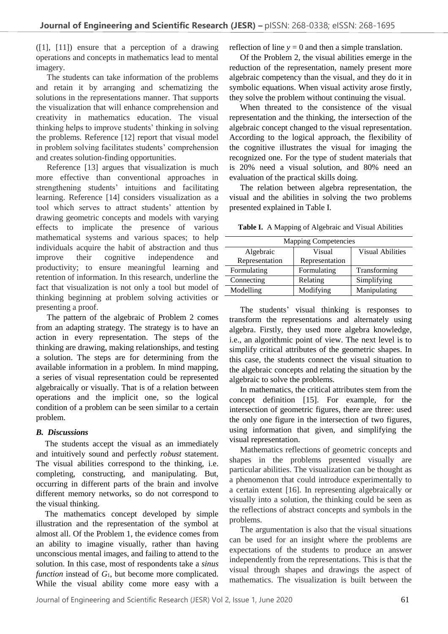([1], [11]) ensure that a perception of a drawing operations and concepts in mathematics lead to mental imagery.

The students can take information of the problems and retain it by arranging and schematizing the solutions in the representations manner. That supports the visualization that will enhance comprehension and creativity in mathematics education. The visual thinking helps to improve students' thinking in solving the problems. Reference [12] report that visual model in problem solving facilitates students' comprehension and creates solution-finding opportunities.

Reference [13] argues that visualization is much more effective than conventional approaches in strengthening students' intuitions and facilitating learning. Reference [14] considers visualization as a tool which serves to attract students' attention by drawing geometric concepts and models with varying effects to implicate the presence of various mathematical systems and various spaces; to help individuals acquire the habit of abstraction and thus improve their cognitive independence and productivity; to ensure meaningful learning and retention of information. In this research, underline the fact that visualization is not only a tool but model of thinking beginning at problem solving activities or presenting a proof.

The pattern of the algebraic of Problem 2 comes from an adapting strategy. The strategy is to have an action in every representation. The steps of the thinking are drawing, making relationships, and testing a solution. The steps are for determining from the available information in a problem. In mind mapping, a series of visual representation could be represented algebraically or visually. That is of a relation between operations and the implicit one, so the logical condition of a problem can be seen similar to a certain problem.

## *B. Discussions*

The students accept the visual as an immediately and intuitively sound and perfectly *robust* statement. The visual abilities correspond to the thinking, i.e. completing, constructing, and manipulating. But, occurring in different parts of the brain and involve different memory networks, so do not correspond to the visual thinking.

The mathematics concept developed by simple illustration and the representation of the symbol at almost all. Of the Problem 1, the evidence comes from an ability to imagine visually, rather than having unconscious mental images, and failing to attend to the solution. In this case, most of respondents take a *sinus function* instead of  $G_1$ , but become more complicated. While the visual ability come more easy with a reflection of line  $y = 0$  and then a simple translation.

Of the Problem 2, the visual abilities emerge in the reduction of the representation, namely present more algebraic competency than the visual, and they do it in symbolic equations. When visual activity arose firstly, they solve the problem without continuing the visual.

When threated to the consistence of the visual representation and the thinking, the intersection of the algebraic concept changed to the visual representation. According to the logical approach, the flexibility of the cognitive illustrates the visual for imaging the recognized one. For the type of student materials that is 20% need a visual solution, and 80% need an evaluation of the practical skills doing.

The relation between algebra representation, the visual and the abilities in solving the two problems presented explained in Table I.

**Table I.** A Mapping of Algebraic and Visual Abilities

| <b>Mapping Competencies</b> |                |                         |
|-----------------------------|----------------|-------------------------|
| Algebraic                   | Visual         | <b>Visual Abilities</b> |
| Representation              | Representation |                         |
| Formulating                 | Formulating    | Transforming            |
| Connecting                  | Relating       | Simplifying             |
| Modelling                   | Modifying      | Manipulating            |

The students' visual thinking is responses to transform the representations and alternately using algebra. Firstly, they used more algebra knowledge, i.e., an algorithmic point of view. The next level is to simplify critical attributes of the geometric shapes. In this case, the students connect the visual situation to the algebraic concepts and relating the situation by the algebraic to solve the problems.

In mathematics, the critical attributes stem from the concept definition [15]. For example, for the intersection of geometric figures, there are three: used the only one figure in the intersection of two figures, using information that given, and simplifying the visual representation.

Mathematics reflections of geometric concepts and shapes in the problems presented visually are particular abilities. The visualization can be thought as a phenomenon that could introduce experimentally to a certain extent [16]. In representing algebraically or visually into a solution, the thinking could be seen as the reflections of abstract concepts and symbols in the problems.

The argumentation is also that the visual situations can be used for an insight where the problems are expectations of the students to produce an answer independently from the representations. This is that the visual through shapes and drawings the aspect of mathematics. The visualization is built between the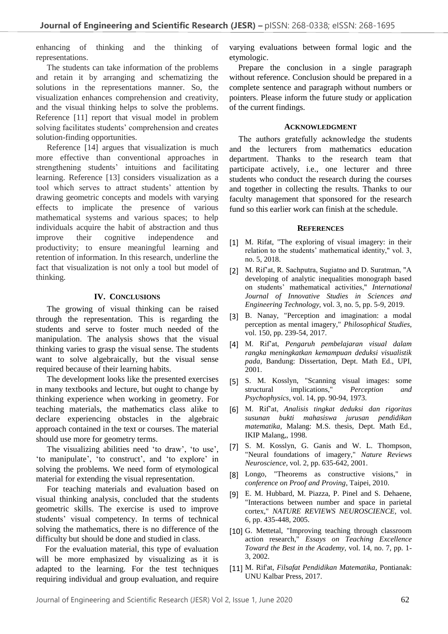enhancing of thinking and the thinking of representations.

The students can take information of the problems and retain it by arranging and schematizing the solutions in the representations manner. So, the visualization enhances comprehension and creativity, and the visual thinking helps to solve the problems. Reference [11] report that visual model in problem solving facilitates students' comprehension and creates solution-finding opportunities.

Reference [14] argues that visualization is much more effective than conventional approaches in strengthening students' intuitions and facilitating learning. Reference [13] considers visualization as a tool which serves to attract students' attention by drawing geometric concepts and models with varying effects to implicate the presence of various mathematical systems and various spaces; to help individuals acquire the habit of abstraction and thus improve their cognitive independence and productivity; to ensure meaningful learning and retention of information. In this research, underline the fact that visualization is not only a tool but model of thinking.

### **IV. CONCLUSIONS**

The growing of visual thinking can be raised through the representation. This is regarding the students and serve to foster much needed of the manipulation. The analysis shows that the visual thinking varies to grasp the visual sense. The students want to solve algebraically, but the visual sense required because of their learning habits.

The development looks like the presented exercises in many textbooks and lecture, but ought to change by thinking experience when working in geometry. For teaching materials, the mathematics class alike to declare experiencing obstacles in the algebraic approach contained in the text or courses. The material should use more for geometry terms.

The visualizing abilities need 'to draw', 'to use', 'to manipulate', 'to construct', and 'to explore' in solving the problems. We need form of etymological material for extending the visual representation.

For teaching materials and evaluation based on visual thinking analysis, concluded that the students geometric skills. The exercise is used to improve students' visual competency. In terms of technical solving the mathematics, there is no difference of the difficulty but should be done and studied in class.

For the evaluation material, this type of evaluation will be more emphasized by visualizing as it is adapted to the learning. For the test techniques requiring individual and group evaluation, and require

varying evaluations between formal logic and the etymologic.

Prepare the conclusion in a single paragraph without reference. Conclusion should be prepared in a complete sentence and paragraph without numbers or pointers. Please inform the future study or application of the current findings.

#### **ACKNOWLEDGMENT**

The authors gratefully acknowledge the students and the lecturers from mathematics education department. Thanks to the research team that participate actively, i.e., one lecturer and three students who conduct the research during the courses and together in collecting the results. Thanks to our faculty management that sponsored for the research fund so this earlier work can finish at the schedule.

#### **REFERENCES**

- [1] M. Rifat, "The exploring of visual imagery: in their relation to the students' mathematical identity," vol. 3, no. 5, 2018.
- [2] M. Rif'at, R. Sachputra, Sugiatno and D. Suratman, "A developing of analytic inequalities monograph based on students' mathematical activities," *International Journal of Innovative Studies in Sciences and Engineering Technology,* vol. 3, no. 5, pp. 5-9, 2019.
- [3] B. Nanay, "Perception and imagination: a modal perception as mental imagery," *Philosophical Studies,*  vol. 150, pp. 239-54, 2017.
- [4] M. Rif'at, *Pengaruh pembelajaran visual dalam rangka meningkatkan kemampuan deduksi visualistik pada,* Bandung: Dissertation, Dept. Math Ed., UPI, 2001.
- [5] S. M. Kosslyn, "Scanning visual images: some structural implications," *Perception and* implications," *Psychophysics,* vol. 14, pp. 90-94, 1973.
- [6] M. Rif'at, *Analisis tingkat deduksi dan rigoritas susunan bukti mahasiswa jurusan pendidikan matematika,* Malang: M.S. thesis, Dept. Math Ed., IKIP Malang,, 1998.
- [7] S. M. Kosslyn, G. Ganis and W. L. Thompson, "Neural foundations of imagery," *Nature Reviews Neuroscience,* vol. 2, pp. 635-642, 2001.
- [8] Longo, "Theorems as constructive visions," in *conference on Proof and Proving*, Taipei, 2010.
- [9] E. M. Hubbard, M. Piazza, P. Pinel and S. Dehaene, "Interactions between number and space in parietal cortex," *NATURE REVIEWS NEUROSCIENCE,* vol. 6, pp. 435-448, 2005.
- [10] G. Mettetal, "Improving teaching through classroom action research," *Essays on Teaching Excellence Toward the Best in the Academy,* vol. 14, no. 7, pp. 1- 3, 2002.
- [11] M. Rif'at, *Filsafat Pendidikan Matematika,* Pontianak: UNU Kalbar Press, 2017.